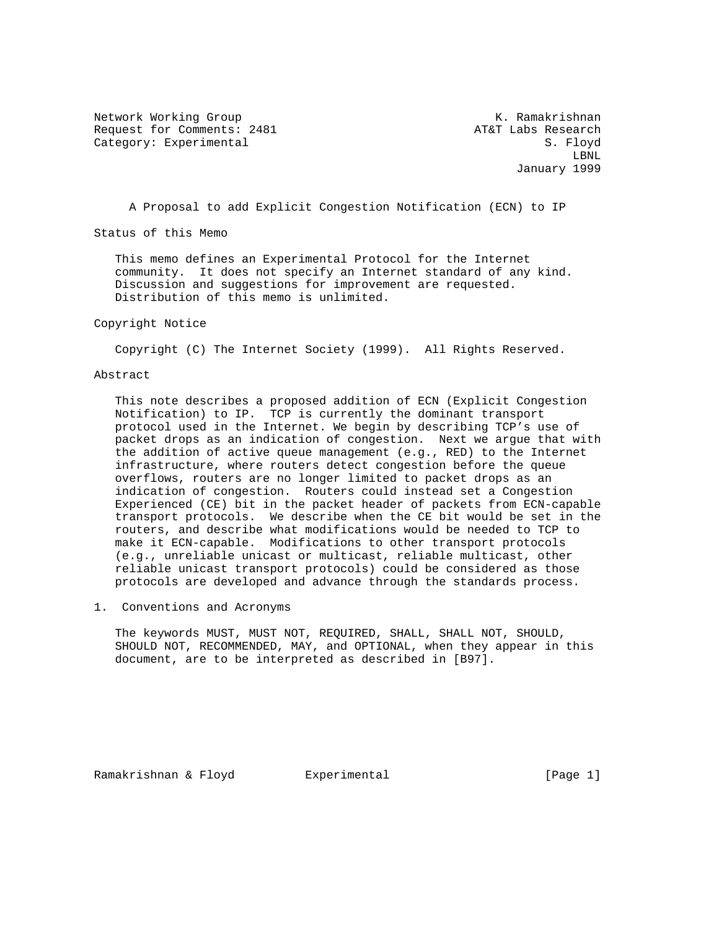Network Working Group Network Working Group Network Channel Muslim Network Channel Muslim Network Channel Muslim Request for Comments: 2481 AT&T Labs Research Category: Experimental S. Floyd

 LBNL January 1999

A Proposal to add Explicit Congestion Notification (ECN) to IP

Status of this Memo

 This memo defines an Experimental Protocol for the Internet community. It does not specify an Internet standard of any kind. Discussion and suggestions for improvement are requested. Distribution of this memo is unlimited.

#### Copyright Notice

Copyright (C) The Internet Society (1999). All Rights Reserved.

#### Abstract

 This note describes a proposed addition of ECN (Explicit Congestion Notification) to IP. TCP is currently the dominant transport protocol used in the Internet. We begin by describing TCP's use of packet drops as an indication of congestion. Next we argue that with the addition of active queue management (e.g., RED) to the Internet infrastructure, where routers detect congestion before the queue overflows, routers are no longer limited to packet drops as an indication of congestion. Routers could instead set a Congestion Experienced (CE) bit in the packet header of packets from ECN-capable transport protocols. We describe when the CE bit would be set in the routers, and describe what modifications would be needed to TCP to make it ECN-capable. Modifications to other transport protocols (e.g., unreliable unicast or multicast, reliable multicast, other reliable unicast transport protocols) could be considered as those protocols are developed and advance through the standards process.

1. Conventions and Acronyms

 The keywords MUST, MUST NOT, REQUIRED, SHALL, SHALL NOT, SHOULD, SHOULD NOT, RECOMMENDED, MAY, and OPTIONAL, when they appear in this document, are to be interpreted as described in [B97].

Ramakrishnan & Floyd Experimental (Page 1)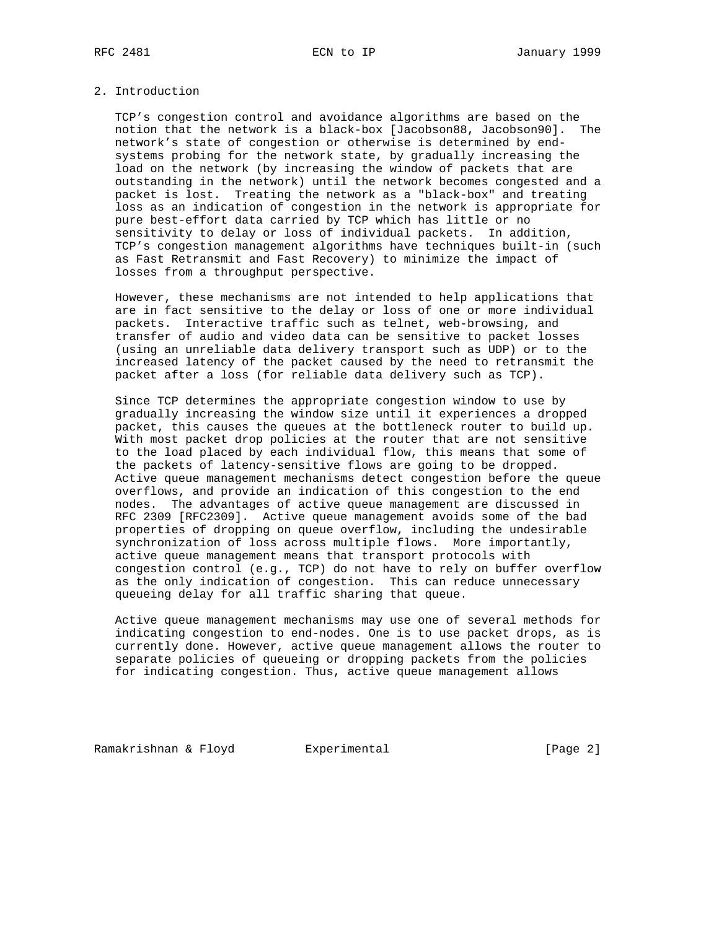#### 2. Introduction

 TCP's congestion control and avoidance algorithms are based on the notion that the network is a black-box [Jacobson88, Jacobson90]. The network's state of congestion or otherwise is determined by end systems probing for the network state, by gradually increasing the load on the network (by increasing the window of packets that are outstanding in the network) until the network becomes congested and a packet is lost. Treating the network as a "black-box" and treating loss as an indication of congestion in the network is appropriate for pure best-effort data carried by TCP which has little or no sensitivity to delay or loss of individual packets. In addition, TCP's congestion management algorithms have techniques built-in (such as Fast Retransmit and Fast Recovery) to minimize the impact of losses from a throughput perspective.

 However, these mechanisms are not intended to help applications that are in fact sensitive to the delay or loss of one or more individual packets. Interactive traffic such as telnet, web-browsing, and transfer of audio and video data can be sensitive to packet losses (using an unreliable data delivery transport such as UDP) or to the increased latency of the packet caused by the need to retransmit the packet after a loss (for reliable data delivery such as TCP).

 Since TCP determines the appropriate congestion window to use by gradually increasing the window size until it experiences a dropped packet, this causes the queues at the bottleneck router to build up. With most packet drop policies at the router that are not sensitive to the load placed by each individual flow, this means that some of the packets of latency-sensitive flows are going to be dropped. Active queue management mechanisms detect congestion before the queue overflows, and provide an indication of this congestion to the end nodes. The advantages of active queue management are discussed in RFC 2309 [RFC2309]. Active queue management avoids some of the bad properties of dropping on queue overflow, including the undesirable synchronization of loss across multiple flows. More importantly, active queue management means that transport protocols with congestion control (e.g., TCP) do not have to rely on buffer overflow as the only indication of congestion. This can reduce unnecessary queueing delay for all traffic sharing that queue.

 Active queue management mechanisms may use one of several methods for indicating congestion to end-nodes. One is to use packet drops, as is currently done. However, active queue management allows the router to separate policies of queueing or dropping packets from the policies for indicating congestion. Thus, active queue management allows

Ramakrishnan & Floyd Experimental (Page 2)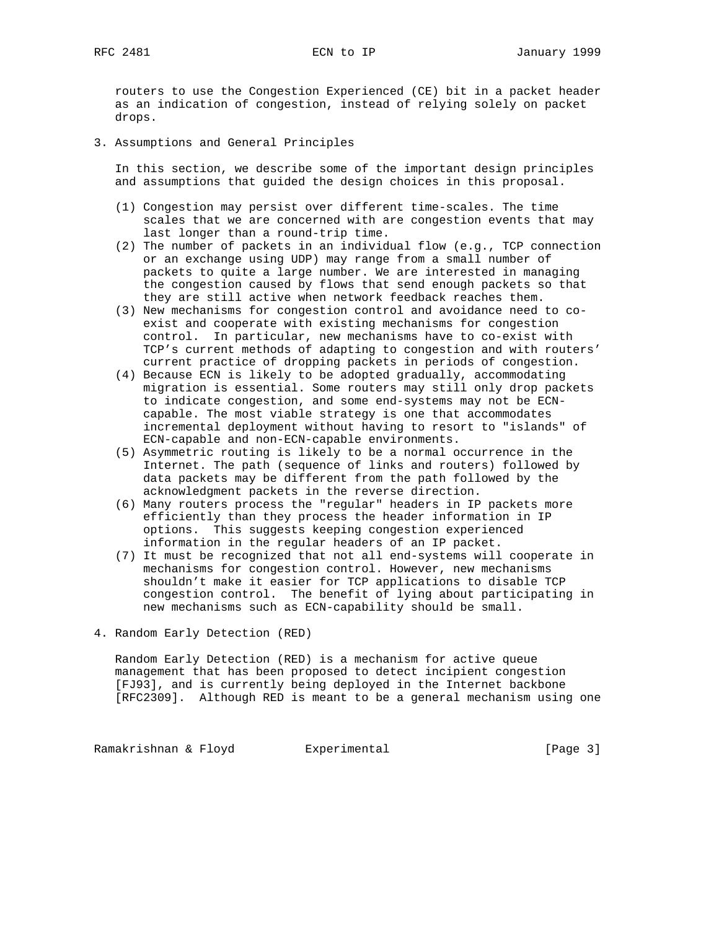routers to use the Congestion Experienced (CE) bit in a packet header as an indication of congestion, instead of relying solely on packet drops.

3. Assumptions and General Principles

 In this section, we describe some of the important design principles and assumptions that guided the design choices in this proposal.

- (1) Congestion may persist over different time-scales. The time scales that we are concerned with are congestion events that may last longer than a round-trip time.
- (2) The number of packets in an individual flow (e.g., TCP connection or an exchange using UDP) may range from a small number of packets to quite a large number. We are interested in managing the congestion caused by flows that send enough packets so that they are still active when network feedback reaches them.
- (3) New mechanisms for congestion control and avoidance need to co exist and cooperate with existing mechanisms for congestion control. In particular, new mechanisms have to co-exist with TCP's current methods of adapting to congestion and with routers' current practice of dropping packets in periods of congestion.
- (4) Because ECN is likely to be adopted gradually, accommodating migration is essential. Some routers may still only drop packets to indicate congestion, and some end-systems may not be ECN capable. The most viable strategy is one that accommodates incremental deployment without having to resort to "islands" of ECN-capable and non-ECN-capable environments.
- (5) Asymmetric routing is likely to be a normal occurrence in the Internet. The path (sequence of links and routers) followed by data packets may be different from the path followed by the acknowledgment packets in the reverse direction.
- (6) Many routers process the "regular" headers in IP packets more efficiently than they process the header information in IP options. This suggests keeping congestion experienced information in the regular headers of an IP packet.
- (7) It must be recognized that not all end-systems will cooperate in mechanisms for congestion control. However, new mechanisms shouldn't make it easier for TCP applications to disable TCP congestion control. The benefit of lying about participating in new mechanisms such as ECN-capability should be small.
- 4. Random Early Detection (RED)

 Random Early Detection (RED) is a mechanism for active queue management that has been proposed to detect incipient congestion [FJ93], and is currently being deployed in the Internet backbone [RFC2309]. Although RED is meant to be a general mechanism using one

Ramakrishnan & Floyd Experimental Controller (Page 3)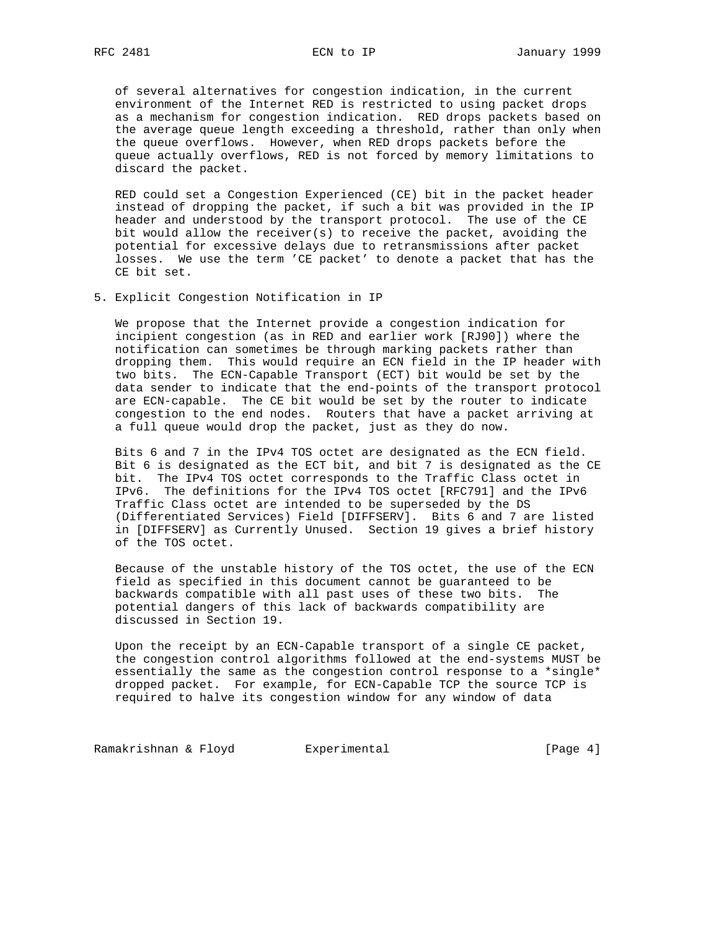of several alternatives for congestion indication, in the current environment of the Internet RED is restricted to using packet drops as a mechanism for congestion indication. RED drops packets based on the average queue length exceeding a threshold, rather than only when the queue overflows. However, when RED drops packets before the queue actually overflows, RED is not forced by memory limitations to discard the packet.

 RED could set a Congestion Experienced (CE) bit in the packet header instead of dropping the packet, if such a bit was provided in the IP header and understood by the transport protocol. The use of the CE bit would allow the receiver(s) to receive the packet, avoiding the potential for excessive delays due to retransmissions after packet losses. We use the term 'CE packet' to denote a packet that has the CE bit set.

5. Explicit Congestion Notification in IP

 We propose that the Internet provide a congestion indication for incipient congestion (as in RED and earlier work [RJ90]) where the notification can sometimes be through marking packets rather than dropping them. This would require an ECN field in the IP header with two bits. The ECN-Capable Transport (ECT) bit would be set by the data sender to indicate that the end-points of the transport protocol are ECN-capable. The CE bit would be set by the router to indicate congestion to the end nodes. Routers that have a packet arriving at a full queue would drop the packet, just as they do now.

 Bits 6 and 7 in the IPv4 TOS octet are designated as the ECN field. Bit 6 is designated as the ECT bit, and bit 7 is designated as the CE bit. The IPv4 TOS octet corresponds to the Traffic Class octet in IPv6. The definitions for the IPv4 TOS octet [RFC791] and the IPv6 Traffic Class octet are intended to be superseded by the DS (Differentiated Services) Field [DIFFSERV]. Bits 6 and 7 are listed in [DIFFSERV] as Currently Unused. Section 19 gives a brief history of the TOS octet.

 Because of the unstable history of the TOS octet, the use of the ECN field as specified in this document cannot be guaranteed to be backwards compatible with all past uses of these two bits. The potential dangers of this lack of backwards compatibility are discussed in Section 19.

 Upon the receipt by an ECN-Capable transport of a single CE packet, the congestion control algorithms followed at the end-systems MUST be essentially the same as the congestion control response to a \*single\* dropped packet. For example, for ECN-Capable TCP the source TCP is required to halve its congestion window for any window of data

Ramakrishnan & Floyd Experimental Fundal (Page 4)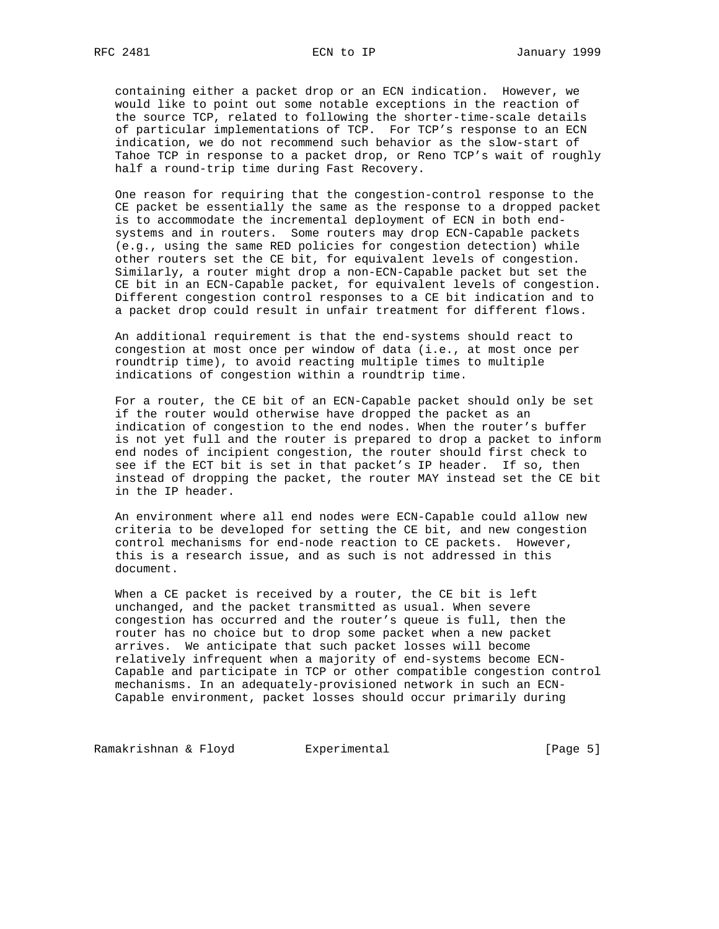containing either a packet drop or an ECN indication. However, we would like to point out some notable exceptions in the reaction of the source TCP, related to following the shorter-time-scale details of particular implementations of TCP. For TCP's response to an ECN indication, we do not recommend such behavior as the slow-start of Tahoe TCP in response to a packet drop, or Reno TCP's wait of roughly half a round-trip time during Fast Recovery.

 One reason for requiring that the congestion-control response to the CE packet be essentially the same as the response to a dropped packet is to accommodate the incremental deployment of ECN in both end systems and in routers. Some routers may drop ECN-Capable packets (e.g., using the same RED policies for congestion detection) while other routers set the CE bit, for equivalent levels of congestion. Similarly, a router might drop a non-ECN-Capable packet but set the CE bit in an ECN-Capable packet, for equivalent levels of congestion. Different congestion control responses to a CE bit indication and to a packet drop could result in unfair treatment for different flows.

 An additional requirement is that the end-systems should react to congestion at most once per window of data (i.e., at most once per roundtrip time), to avoid reacting multiple times to multiple indications of congestion within a roundtrip time.

 For a router, the CE bit of an ECN-Capable packet should only be set if the router would otherwise have dropped the packet as an indication of congestion to the end nodes. When the router's buffer is not yet full and the router is prepared to drop a packet to inform end nodes of incipient congestion, the router should first check to see if the ECT bit is set in that packet's IP header. If so, then instead of dropping the packet, the router MAY instead set the CE bit in the IP header.

 An environment where all end nodes were ECN-Capable could allow new criteria to be developed for setting the CE bit, and new congestion control mechanisms for end-node reaction to CE packets. However, this is a research issue, and as such is not addressed in this document.

 When a CE packet is received by a router, the CE bit is left unchanged, and the packet transmitted as usual. When severe congestion has occurred and the router's queue is full, then the router has no choice but to drop some packet when a new packet arrives. We anticipate that such packet losses will become relatively infrequent when a majority of end-systems become ECN- Capable and participate in TCP or other compatible congestion control mechanisms. In an adequately-provisioned network in such an ECN- Capable environment, packet losses should occur primarily during

Ramakrishnan & Floyd Experimental Fundal (Page 5)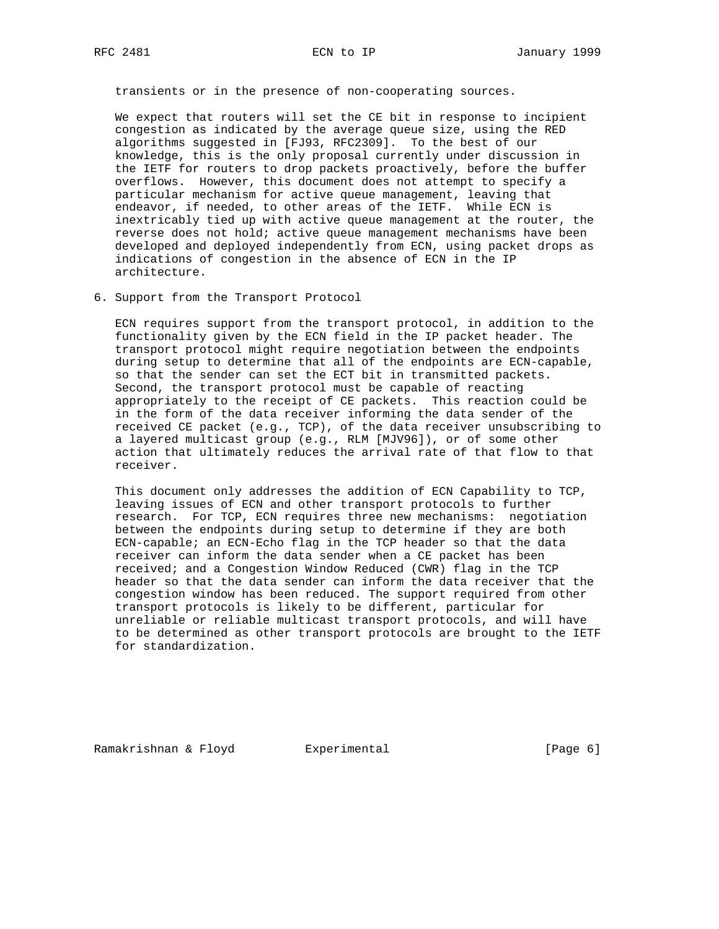transients or in the presence of non-cooperating sources.

 We expect that routers will set the CE bit in response to incipient congestion as indicated by the average queue size, using the RED algorithms suggested in [FJ93, RFC2309]. To the best of our knowledge, this is the only proposal currently under discussion in the IETF for routers to drop packets proactively, before the buffer overflows. However, this document does not attempt to specify a particular mechanism for active queue management, leaving that endeavor, if needed, to other areas of the IETF. While ECN is inextricably tied up with active queue management at the router, the reverse does not hold; active queue management mechanisms have been developed and deployed independently from ECN, using packet drops as indications of congestion in the absence of ECN in the IP architecture.

6. Support from the Transport Protocol

 ECN requires support from the transport protocol, in addition to the functionality given by the ECN field in the IP packet header. The transport protocol might require negotiation between the endpoints during setup to determine that all of the endpoints are ECN-capable, so that the sender can set the ECT bit in transmitted packets. Second, the transport protocol must be capable of reacting appropriately to the receipt of CE packets. This reaction could be in the form of the data receiver informing the data sender of the received CE packet (e.g., TCP), of the data receiver unsubscribing to a layered multicast group (e.g., RLM [MJV96]), or of some other action that ultimately reduces the arrival rate of that flow to that receiver.

 This document only addresses the addition of ECN Capability to TCP, leaving issues of ECN and other transport protocols to further research. For TCP, ECN requires three new mechanisms: negotiation between the endpoints during setup to determine if they are both ECN-capable; an ECN-Echo flag in the TCP header so that the data receiver can inform the data sender when a CE packet has been received; and a Congestion Window Reduced (CWR) flag in the TCP header so that the data sender can inform the data receiver that the congestion window has been reduced. The support required from other transport protocols is likely to be different, particular for unreliable or reliable multicast transport protocols, and will have to be determined as other transport protocols are brought to the IETF for standardization.

Ramakrishnan & Floyd Experimental (Page 6)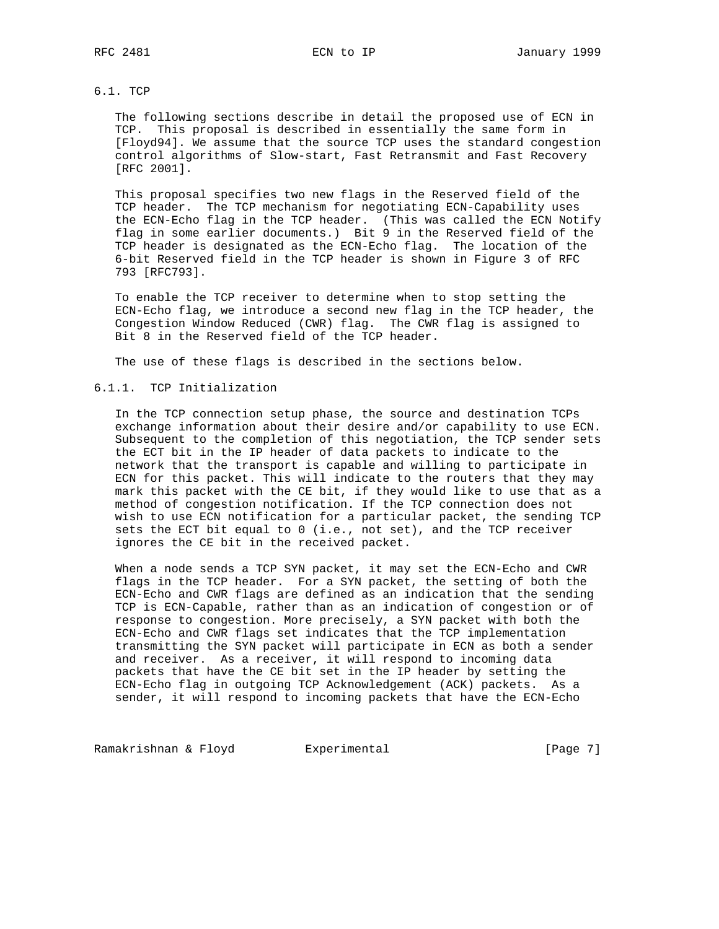## 6.1. TCP

 The following sections describe in detail the proposed use of ECN in TCP. This proposal is described in essentially the same form in [Floyd94]. We assume that the source TCP uses the standard congestion control algorithms of Slow-start, Fast Retransmit and Fast Recovery [RFC 2001].

 This proposal specifies two new flags in the Reserved field of the TCP header. The TCP mechanism for negotiating ECN-Capability uses the ECN-Echo flag in the TCP header. (This was called the ECN Notify flag in some earlier documents.) Bit 9 in the Reserved field of the TCP header is designated as the ECN-Echo flag. The location of the 6-bit Reserved field in the TCP header is shown in Figure 3 of RFC 793 [RFC793].

 To enable the TCP receiver to determine when to stop setting the ECN-Echo flag, we introduce a second new flag in the TCP header, the Congestion Window Reduced (CWR) flag. The CWR flag is assigned to Bit 8 in the Reserved field of the TCP header.

The use of these flags is described in the sections below.

## 6.1.1. TCP Initialization

 In the TCP connection setup phase, the source and destination TCPs exchange information about their desire and/or capability to use ECN. Subsequent to the completion of this negotiation, the TCP sender sets the ECT bit in the IP header of data packets to indicate to the network that the transport is capable and willing to participate in ECN for this packet. This will indicate to the routers that they may mark this packet with the CE bit, if they would like to use that as a method of congestion notification. If the TCP connection does not wish to use ECN notification for a particular packet, the sending TCP sets the ECT bit equal to 0 (i.e., not set), and the TCP receiver ignores the CE bit in the received packet.

 When a node sends a TCP SYN packet, it may set the ECN-Echo and CWR flags in the TCP header. For a SYN packet, the setting of both the ECN-Echo and CWR flags are defined as an indication that the sending TCP is ECN-Capable, rather than as an indication of congestion or of response to congestion. More precisely, a SYN packet with both the ECN-Echo and CWR flags set indicates that the TCP implementation transmitting the SYN packet will participate in ECN as both a sender and receiver. As a receiver, it will respond to incoming data packets that have the CE bit set in the IP header by setting the ECN-Echo flag in outgoing TCP Acknowledgement (ACK) packets. As a sender, it will respond to incoming packets that have the ECN-Echo

Ramakrishnan & Floyd Experimental Fundal (Page 7)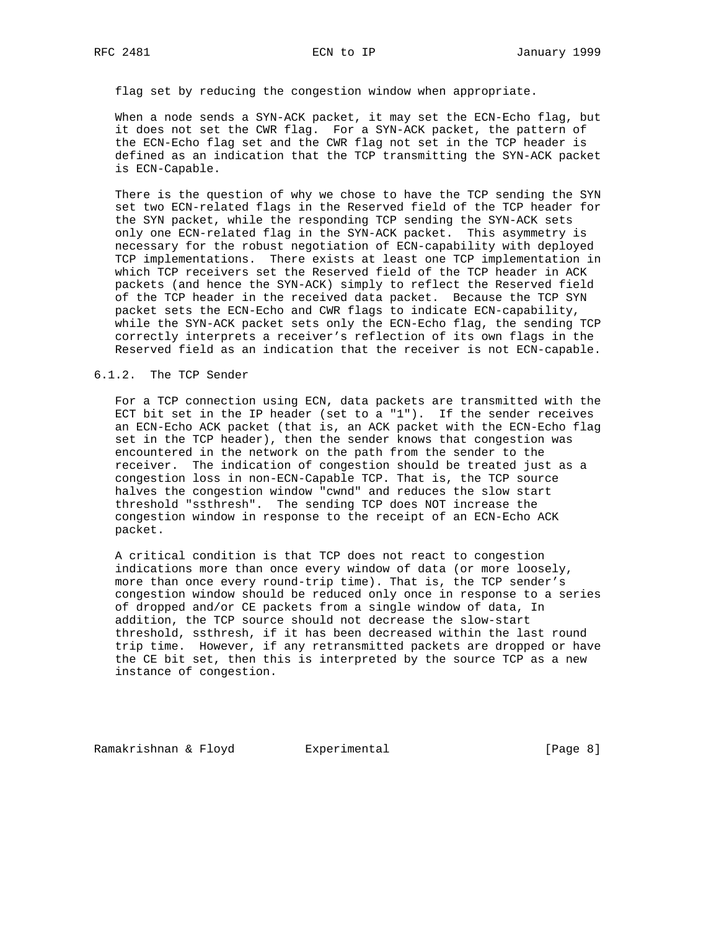flag set by reducing the congestion window when appropriate.

 When a node sends a SYN-ACK packet, it may set the ECN-Echo flag, but it does not set the CWR flag. For a SYN-ACK packet, the pattern of the ECN-Echo flag set and the CWR flag not set in the TCP header is defined as an indication that the TCP transmitting the SYN-ACK packet is ECN-Capable.

 There is the question of why we chose to have the TCP sending the SYN set two ECN-related flags in the Reserved field of the TCP header for the SYN packet, while the responding TCP sending the SYN-ACK sets only one ECN-related flag in the SYN-ACK packet. This asymmetry is necessary for the robust negotiation of ECN-capability with deployed TCP implementations. There exists at least one TCP implementation in which TCP receivers set the Reserved field of the TCP header in ACK packets (and hence the SYN-ACK) simply to reflect the Reserved field of the TCP header in the received data packet. Because the TCP SYN packet sets the ECN-Echo and CWR flags to indicate ECN-capability, while the SYN-ACK packet sets only the ECN-Echo flag, the sending TCP correctly interprets a receiver's reflection of its own flags in the Reserved field as an indication that the receiver is not ECN-capable.

#### 6.1.2. The TCP Sender

 For a TCP connection using ECN, data packets are transmitted with the ECT bit set in the IP header (set to a "1"). If the sender receives an ECN-Echo ACK packet (that is, an ACK packet with the ECN-Echo flag set in the TCP header), then the sender knows that congestion was encountered in the network on the path from the sender to the receiver. The indication of congestion should be treated just as a congestion loss in non-ECN-Capable TCP. That is, the TCP source halves the congestion window "cwnd" and reduces the slow start threshold "ssthresh". The sending TCP does NOT increase the congestion window in response to the receipt of an ECN-Echo ACK packet.

 A critical condition is that TCP does not react to congestion indications more than once every window of data (or more loosely, more than once every round-trip time). That is, the TCP sender's congestion window should be reduced only once in response to a series of dropped and/or CE packets from a single window of data, In addition, the TCP source should not decrease the slow-start threshold, ssthresh, if it has been decreased within the last round trip time. However, if any retransmitted packets are dropped or have the CE bit set, then this is interpreted by the source TCP as a new instance of congestion.

Ramakrishnan & Floyd Experimental (Page 8)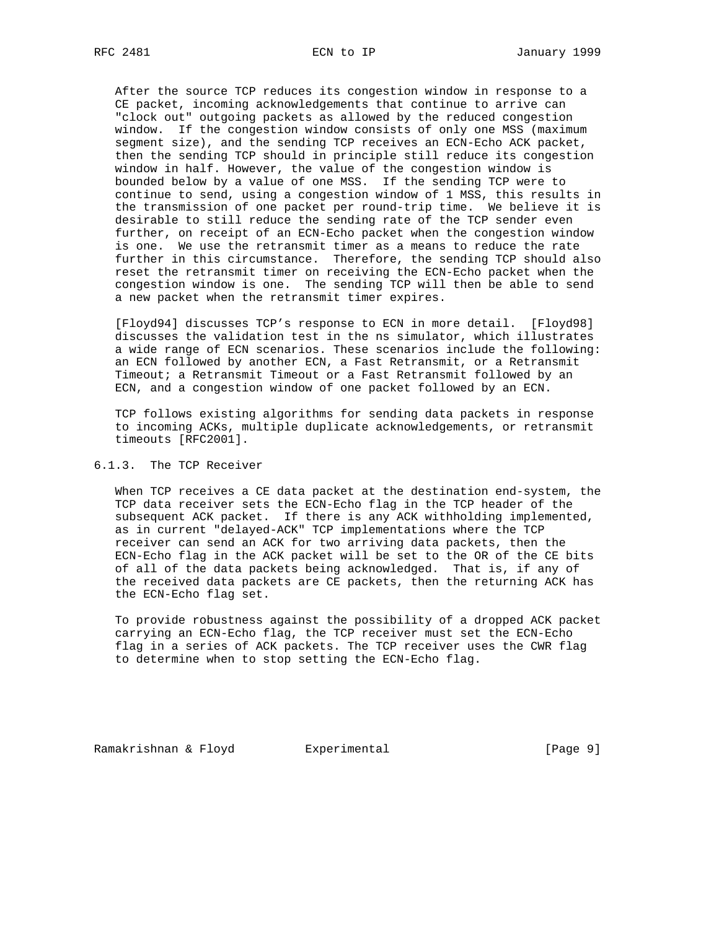After the source TCP reduces its congestion window in response to a CE packet, incoming acknowledgements that continue to arrive can "clock out" outgoing packets as allowed by the reduced congestion window. If the congestion window consists of only one MSS (maximum segment size), and the sending TCP receives an ECN-Echo ACK packet, then the sending TCP should in principle still reduce its congestion window in half. However, the value of the congestion window is bounded below by a value of one MSS. If the sending TCP were to continue to send, using a congestion window of 1 MSS, this results in the transmission of one packet per round-trip time. We believe it is desirable to still reduce the sending rate of the TCP sender even further, on receipt of an ECN-Echo packet when the congestion window is one. We use the retransmit timer as a means to reduce the rate further in this circumstance. Therefore, the sending TCP should also reset the retransmit timer on receiving the ECN-Echo packet when the congestion window is one. The sending TCP will then be able to send a new packet when the retransmit timer expires.

 [Floyd94] discusses TCP's response to ECN in more detail. [Floyd98] discusses the validation test in the ns simulator, which illustrates a wide range of ECN scenarios. These scenarios include the following: an ECN followed by another ECN, a Fast Retransmit, or a Retransmit Timeout; a Retransmit Timeout or a Fast Retransmit followed by an ECN, and a congestion window of one packet followed by an ECN.

 TCP follows existing algorithms for sending data packets in response to incoming ACKs, multiple duplicate acknowledgements, or retransmit timeouts [RFC2001].

# 6.1.3. The TCP Receiver

 When TCP receives a CE data packet at the destination end-system, the TCP data receiver sets the ECN-Echo flag in the TCP header of the subsequent ACK packet. If there is any ACK withholding implemented, as in current "delayed-ACK" TCP implementations where the TCP receiver can send an ACK for two arriving data packets, then the ECN-Echo flag in the ACK packet will be set to the OR of the CE bits of all of the data packets being acknowledged. That is, if any of the received data packets are CE packets, then the returning ACK has the ECN-Echo flag set.

 To provide robustness against the possibility of a dropped ACK packet carrying an ECN-Echo flag, the TCP receiver must set the ECN-Echo flag in a series of ACK packets. The TCP receiver uses the CWR flag to determine when to stop setting the ECN-Echo flag.

Ramakrishnan & Floyd Experimental (Page 9)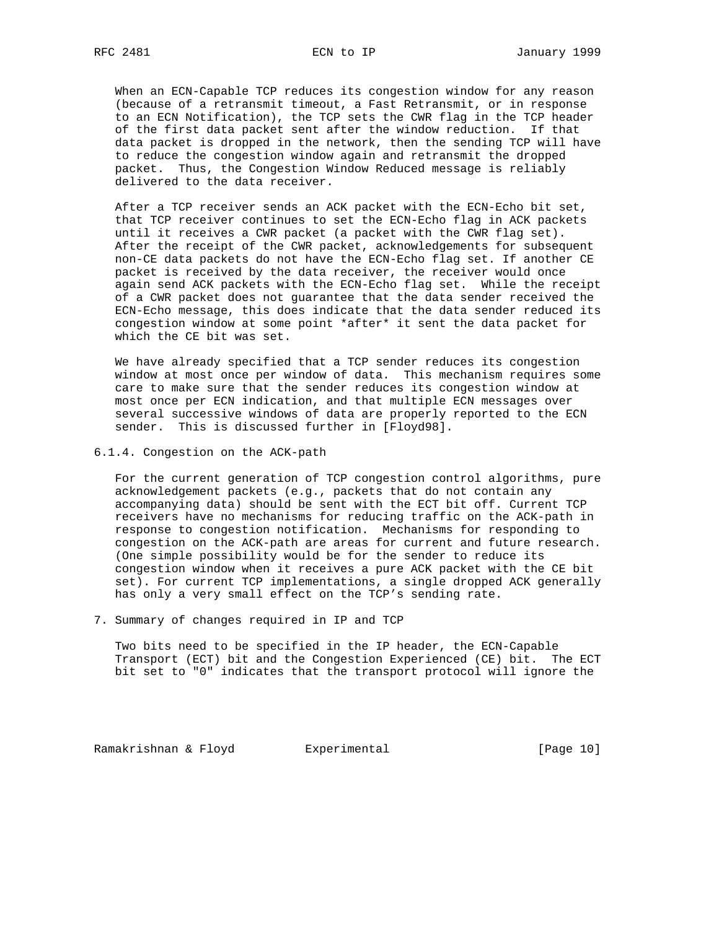When an ECN-Capable TCP reduces its congestion window for any reason (because of a retransmit timeout, a Fast Retransmit, or in response to an ECN Notification), the TCP sets the CWR flag in the TCP header of the first data packet sent after the window reduction. If that data packet is dropped in the network, then the sending TCP will have to reduce the congestion window again and retransmit the dropped packet. Thus, the Congestion Window Reduced message is reliably delivered to the data receiver.

 After a TCP receiver sends an ACK packet with the ECN-Echo bit set, that TCP receiver continues to set the ECN-Echo flag in ACK packets until it receives a CWR packet (a packet with the CWR flag set). After the receipt of the CWR packet, acknowledgements for subsequent non-CE data packets do not have the ECN-Echo flag set. If another CE packet is received by the data receiver, the receiver would once again send ACK packets with the ECN-Echo flag set. While the receipt of a CWR packet does not guarantee that the data sender received the ECN-Echo message, this does indicate that the data sender reduced its congestion window at some point \*after\* it sent the data packet for which the CE bit was set.

 We have already specified that a TCP sender reduces its congestion window at most once per window of data. This mechanism requires some care to make sure that the sender reduces its congestion window at most once per ECN indication, and that multiple ECN messages over several successive windows of data are properly reported to the ECN sender. This is discussed further in [Floyd98].

6.1.4. Congestion on the ACK-path

 For the current generation of TCP congestion control algorithms, pure acknowledgement packets (e.g., packets that do not contain any accompanying data) should be sent with the ECT bit off. Current TCP receivers have no mechanisms for reducing traffic on the ACK-path in response to congestion notification. Mechanisms for responding to congestion on the ACK-path are areas for current and future research. (One simple possibility would be for the sender to reduce its congestion window when it receives a pure ACK packet with the CE bit set). For current TCP implementations, a single dropped ACK generally has only a very small effect on the TCP's sending rate.

7. Summary of changes required in IP and TCP

 Two bits need to be specified in the IP header, the ECN-Capable Transport (ECT) bit and the Congestion Experienced (CE) bit. The ECT bit set to "0" indicates that the transport protocol will ignore the

Ramakrishnan & Floyd Experimental Fundal [Page 10]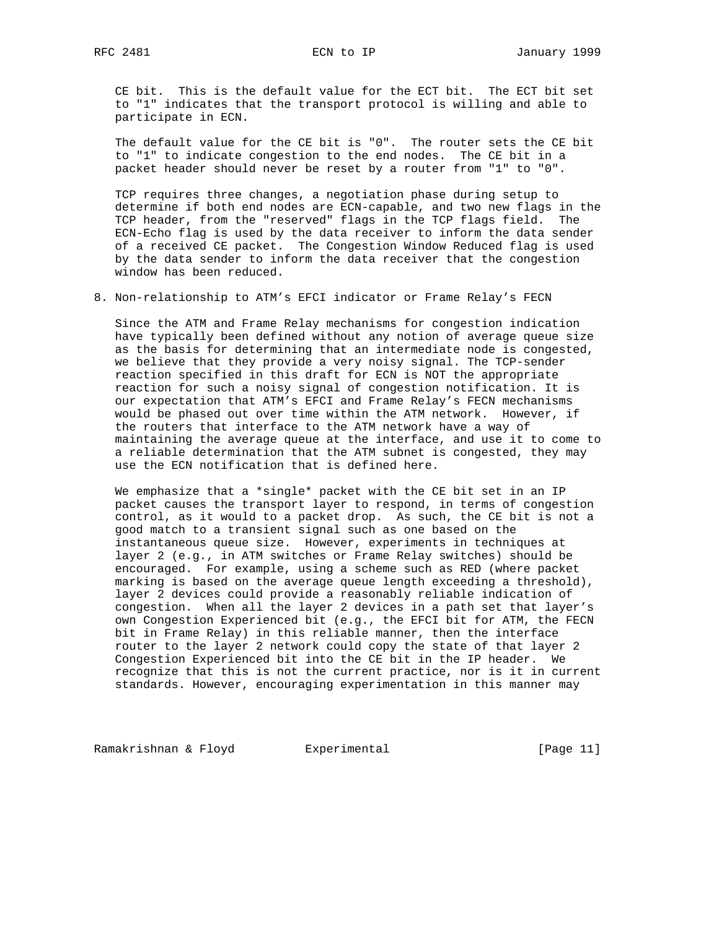CE bit. This is the default value for the ECT bit. The ECT bit set to "1" indicates that the transport protocol is willing and able to participate in ECN.

 The default value for the CE bit is "0". The router sets the CE bit to "1" to indicate congestion to the end nodes. The CE bit in a packet header should never be reset by a router from "1" to "0".

 TCP requires three changes, a negotiation phase during setup to determine if both end nodes are ECN-capable, and two new flags in the TCP header, from the "reserved" flags in the TCP flags field. The ECN-Echo flag is used by the data receiver to inform the data sender of a received CE packet. The Congestion Window Reduced flag is used by the data sender to inform the data receiver that the congestion window has been reduced.

8. Non-relationship to ATM's EFCI indicator or Frame Relay's FECN

 Since the ATM and Frame Relay mechanisms for congestion indication have typically been defined without any notion of average queue size as the basis for determining that an intermediate node is congested, we believe that they provide a very noisy signal. The TCP-sender reaction specified in this draft for ECN is NOT the appropriate reaction for such a noisy signal of congestion notification. It is our expectation that ATM's EFCI and Frame Relay's FECN mechanisms would be phased out over time within the ATM network. However, if the routers that interface to the ATM network have a way of maintaining the average queue at the interface, and use it to come to a reliable determination that the ATM subnet is congested, they may use the ECN notification that is defined here.

 We emphasize that a \*single\* packet with the CE bit set in an IP packet causes the transport layer to respond, in terms of congestion control, as it would to a packet drop. As such, the CE bit is not a good match to a transient signal such as one based on the instantaneous queue size. However, experiments in techniques at layer 2 (e.g., in ATM switches or Frame Relay switches) should be encouraged. For example, using a scheme such as RED (where packet marking is based on the average queue length exceeding a threshold), layer 2 devices could provide a reasonably reliable indication of congestion. When all the layer 2 devices in a path set that layer's own Congestion Experienced bit (e.g., the EFCI bit for ATM, the FECN bit in Frame Relay) in this reliable manner, then the interface router to the layer 2 network could copy the state of that layer 2 Congestion Experienced bit into the CE bit in the IP header. We recognize that this is not the current practice, nor is it in current standards. However, encouraging experimentation in this manner may

Ramakrishnan & Floyd Experimental [Page 11]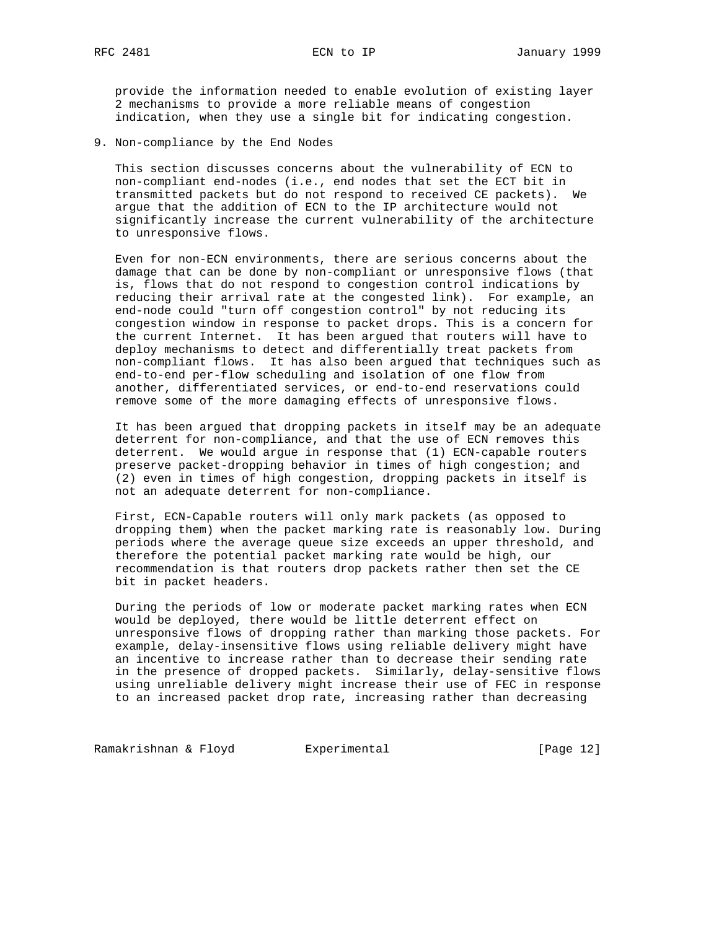provide the information needed to enable evolution of existing layer 2 mechanisms to provide a more reliable means of congestion indication, when they use a single bit for indicating congestion.

9. Non-compliance by the End Nodes

 This section discusses concerns about the vulnerability of ECN to non-compliant end-nodes (i.e., end nodes that set the ECT bit in transmitted packets but do not respond to received CE packets). We argue that the addition of ECN to the IP architecture would not significantly increase the current vulnerability of the architecture to unresponsive flows.

 Even for non-ECN environments, there are serious concerns about the damage that can be done by non-compliant or unresponsive flows (that is, flows that do not respond to congestion control indications by reducing their arrival rate at the congested link). For example, an end-node could "turn off congestion control" by not reducing its congestion window in response to packet drops. This is a concern for the current Internet. It has been argued that routers will have to deploy mechanisms to detect and differentially treat packets from non-compliant flows. It has also been argued that techniques such as end-to-end per-flow scheduling and isolation of one flow from another, differentiated services, or end-to-end reservations could remove some of the more damaging effects of unresponsive flows.

 It has been argued that dropping packets in itself may be an adequate deterrent for non-compliance, and that the use of ECN removes this deterrent. We would argue in response that (1) ECN-capable routers preserve packet-dropping behavior in times of high congestion; and (2) even in times of high congestion, dropping packets in itself is not an adequate deterrent for non-compliance.

 First, ECN-Capable routers will only mark packets (as opposed to dropping them) when the packet marking rate is reasonably low. During periods where the average queue size exceeds an upper threshold, and therefore the potential packet marking rate would be high, our recommendation is that routers drop packets rather then set the CE bit in packet headers.

 During the periods of low or moderate packet marking rates when ECN would be deployed, there would be little deterrent effect on unresponsive flows of dropping rather than marking those packets. For example, delay-insensitive flows using reliable delivery might have an incentive to increase rather than to decrease their sending rate in the presence of dropped packets. Similarly, delay-sensitive flows using unreliable delivery might increase their use of FEC in response to an increased packet drop rate, increasing rather than decreasing

Ramakrishnan & Floyd Experimental [Page 12]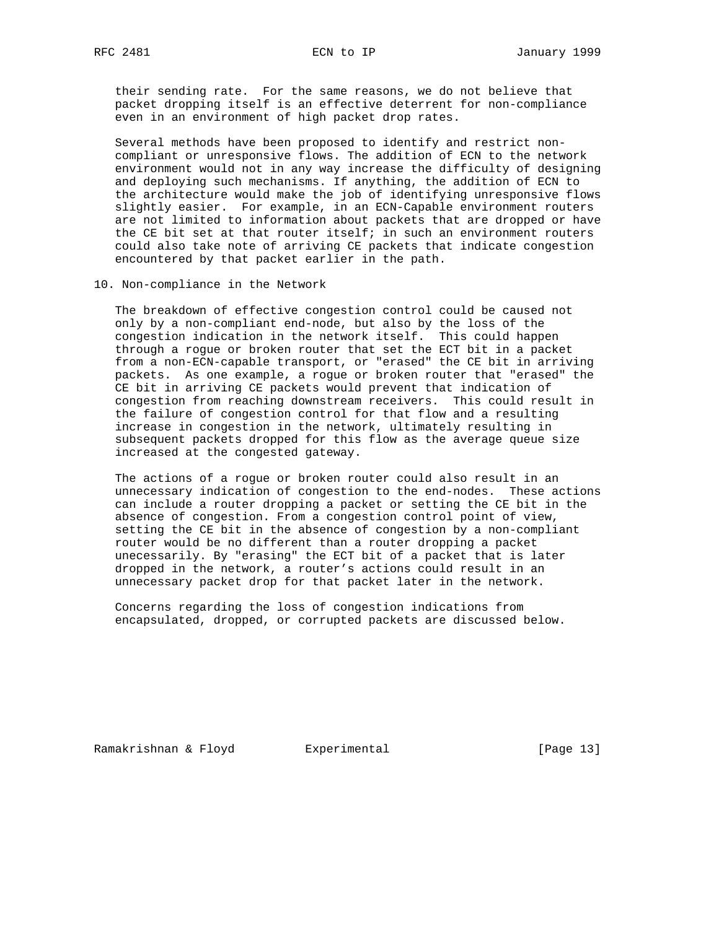their sending rate. For the same reasons, we do not believe that packet dropping itself is an effective deterrent for non-compliance even in an environment of high packet drop rates.

 Several methods have been proposed to identify and restrict non compliant or unresponsive flows. The addition of ECN to the network environment would not in any way increase the difficulty of designing and deploying such mechanisms. If anything, the addition of ECN to the architecture would make the job of identifying unresponsive flows slightly easier. For example, in an ECN-Capable environment routers are not limited to information about packets that are dropped or have the CE bit set at that router itself; in such an environment routers could also take note of arriving CE packets that indicate congestion encountered by that packet earlier in the path.

10. Non-compliance in the Network

 The breakdown of effective congestion control could be caused not only by a non-compliant end-node, but also by the loss of the congestion indication in the network itself. This could happen through a rogue or broken router that set the ECT bit in a packet from a non-ECN-capable transport, or "erased" the CE bit in arriving packets. As one example, a rogue or broken router that "erased" the CE bit in arriving CE packets would prevent that indication of congestion from reaching downstream receivers. This could result in the failure of congestion control for that flow and a resulting increase in congestion in the network, ultimately resulting in subsequent packets dropped for this flow as the average queue size increased at the congested gateway.

 The actions of a rogue or broken router could also result in an unnecessary indication of congestion to the end-nodes. These actions can include a router dropping a packet or setting the CE bit in the absence of congestion. From a congestion control point of view, setting the CE bit in the absence of congestion by a non-compliant router would be no different than a router dropping a packet unecessarily. By "erasing" the ECT bit of a packet that is later dropped in the network, a router's actions could result in an unnecessary packet drop for that packet later in the network.

 Concerns regarding the loss of congestion indications from encapsulated, dropped, or corrupted packets are discussed below.

Ramakrishnan & Floyd Experimental [Page 13]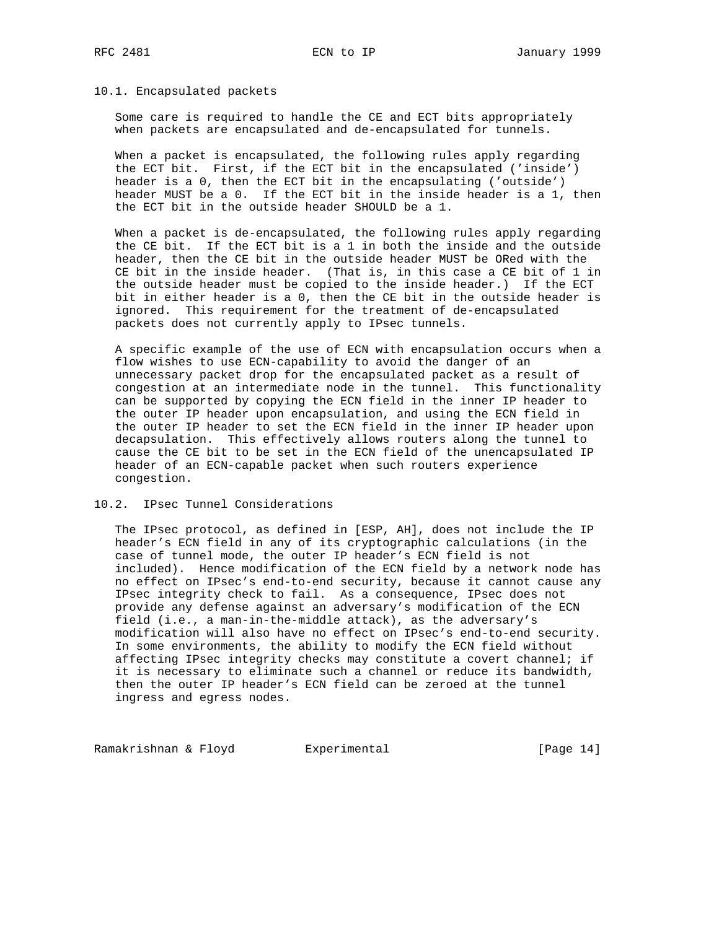#### 10.1. Encapsulated packets

 Some care is required to handle the CE and ECT bits appropriately when packets are encapsulated and de-encapsulated for tunnels.

 When a packet is encapsulated, the following rules apply regarding the ECT bit. First, if the ECT bit in the encapsulated ('inside') header is a 0, then the ECT bit in the encapsulating ('outside') header MUST be a 0. If the ECT bit in the inside header is a 1, then the ECT bit in the outside header SHOULD be a 1.

 When a packet is de-encapsulated, the following rules apply regarding the CE bit. If the ECT bit is a 1 in both the inside and the outside header, then the CE bit in the outside header MUST be ORed with the CE bit in the inside header. (That is, in this case a CE bit of 1 in the outside header must be copied to the inside header.) If the ECT bit in either header is a 0, then the CE bit in the outside header is ignored. This requirement for the treatment of de-encapsulated packets does not currently apply to IPsec tunnels.

 A specific example of the use of ECN with encapsulation occurs when a flow wishes to use ECN-capability to avoid the danger of an unnecessary packet drop for the encapsulated packet as a result of congestion at an intermediate node in the tunnel. This functionality can be supported by copying the ECN field in the inner IP header to the outer IP header upon encapsulation, and using the ECN field in the outer IP header to set the ECN field in the inner IP header upon decapsulation. This effectively allows routers along the tunnel to cause the CE bit to be set in the ECN field of the unencapsulated IP header of an ECN-capable packet when such routers experience congestion.

#### 10.2. IPsec Tunnel Considerations

 The IPsec protocol, as defined in [ESP, AH], does not include the IP header's ECN field in any of its cryptographic calculations (in the case of tunnel mode, the outer IP header's ECN field is not included). Hence modification of the ECN field by a network node has no effect on IPsec's end-to-end security, because it cannot cause any IPsec integrity check to fail. As a consequence, IPsec does not provide any defense against an adversary's modification of the ECN field (i.e., a man-in-the-middle attack), as the adversary's modification will also have no effect on IPsec's end-to-end security. In some environments, the ability to modify the ECN field without affecting IPsec integrity checks may constitute a covert channel; if it is necessary to eliminate such a channel or reduce its bandwidth, then the outer IP header's ECN field can be zeroed at the tunnel ingress and egress nodes.

Ramakrishnan & Floyd Experimental [Page 14]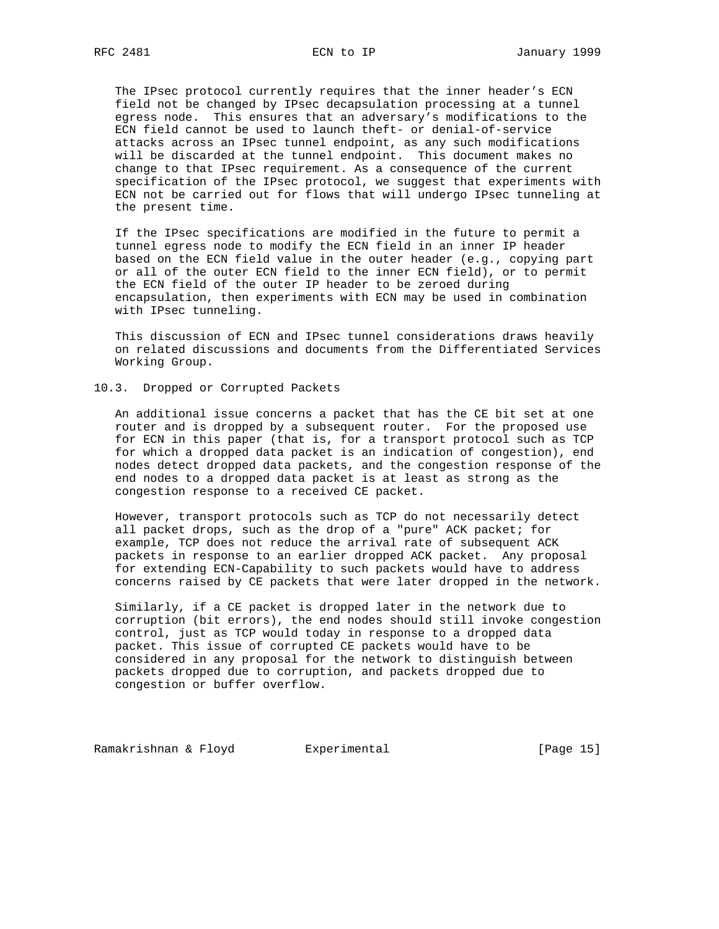The IPsec protocol currently requires that the inner header's ECN field not be changed by IPsec decapsulation processing at a tunnel egress node. This ensures that an adversary's modifications to the ECN field cannot be used to launch theft- or denial-of-service attacks across an IPsec tunnel endpoint, as any such modifications will be discarded at the tunnel endpoint. This document makes no change to that IPsec requirement. As a consequence of the current specification of the IPsec protocol, we suggest that experiments with ECN not be carried out for flows that will undergo IPsec tunneling at the present time.

 If the IPsec specifications are modified in the future to permit a tunnel egress node to modify the ECN field in an inner IP header based on the ECN field value in the outer header (e.g., copying part or all of the outer ECN field to the inner ECN field), or to permit the ECN field of the outer IP header to be zeroed during encapsulation, then experiments with ECN may be used in combination with IPsec tunneling.

 This discussion of ECN and IPsec tunnel considerations draws heavily on related discussions and documents from the Differentiated Services Working Group.

#### 10.3. Dropped or Corrupted Packets

 An additional issue concerns a packet that has the CE bit set at one router and is dropped by a subsequent router. For the proposed use for ECN in this paper (that is, for a transport protocol such as TCP for which a dropped data packet is an indication of congestion), end nodes detect dropped data packets, and the congestion response of the end nodes to a dropped data packet is at least as strong as the congestion response to a received CE packet.

 However, transport protocols such as TCP do not necessarily detect all packet drops, such as the drop of a "pure" ACK packet; for example, TCP does not reduce the arrival rate of subsequent ACK packets in response to an earlier dropped ACK packet. Any proposal for extending ECN-Capability to such packets would have to address concerns raised by CE packets that were later dropped in the network.

 Similarly, if a CE packet is dropped later in the network due to corruption (bit errors), the end nodes should still invoke congestion control, just as TCP would today in response to a dropped data packet. This issue of corrupted CE packets would have to be considered in any proposal for the network to distinguish between packets dropped due to corruption, and packets dropped due to congestion or buffer overflow.

Ramakrishnan & Floyd Experimental Fundal [Page 15]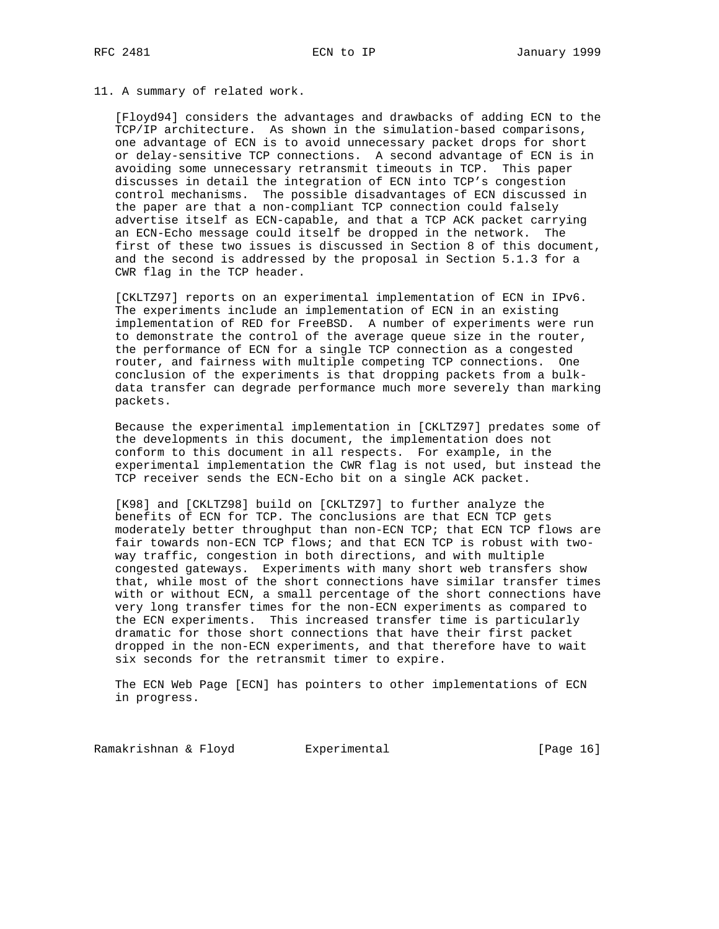#### 11. A summary of related work.

 [Floyd94] considers the advantages and drawbacks of adding ECN to the TCP/IP architecture. As shown in the simulation-based comparisons, one advantage of ECN is to avoid unnecessary packet drops for short or delay-sensitive TCP connections. A second advantage of ECN is in avoiding some unnecessary retransmit timeouts in TCP. This paper discusses in detail the integration of ECN into TCP's congestion control mechanisms. The possible disadvantages of ECN discussed in the paper are that a non-compliant TCP connection could falsely advertise itself as ECN-capable, and that a TCP ACK packet carrying an ECN-Echo message could itself be dropped in the network. The first of these two issues is discussed in Section 8 of this document, and the second is addressed by the proposal in Section 5.1.3 for a CWR flag in the TCP header.

 [CKLTZ97] reports on an experimental implementation of ECN in IPv6. The experiments include an implementation of ECN in an existing implementation of RED for FreeBSD. A number of experiments were run to demonstrate the control of the average queue size in the router, the performance of ECN for a single TCP connection as a congested router, and fairness with multiple competing TCP connections. One conclusion of the experiments is that dropping packets from a bulk data transfer can degrade performance much more severely than marking packets.

 Because the experimental implementation in [CKLTZ97] predates some of the developments in this document, the implementation does not conform to this document in all respects. For example, in the experimental implementation the CWR flag is not used, but instead the TCP receiver sends the ECN-Echo bit on a single ACK packet.

 [K98] and [CKLTZ98] build on [CKLTZ97] to further analyze the benefits of ECN for TCP. The conclusions are that ECN TCP gets moderately better throughput than non-ECN TCP; that ECN TCP flows are fair towards non-ECN TCP flows; and that ECN TCP is robust with two way traffic, congestion in both directions, and with multiple congested gateways. Experiments with many short web transfers show that, while most of the short connections have similar transfer times with or without ECN, a small percentage of the short connections have very long transfer times for the non-ECN experiments as compared to the ECN experiments. This increased transfer time is particularly dramatic for those short connections that have their first packet dropped in the non-ECN experiments, and that therefore have to wait six seconds for the retransmit timer to expire.

 The ECN Web Page [ECN] has pointers to other implementations of ECN in progress.

Ramakrishnan & Floyd Experimental [Page 16]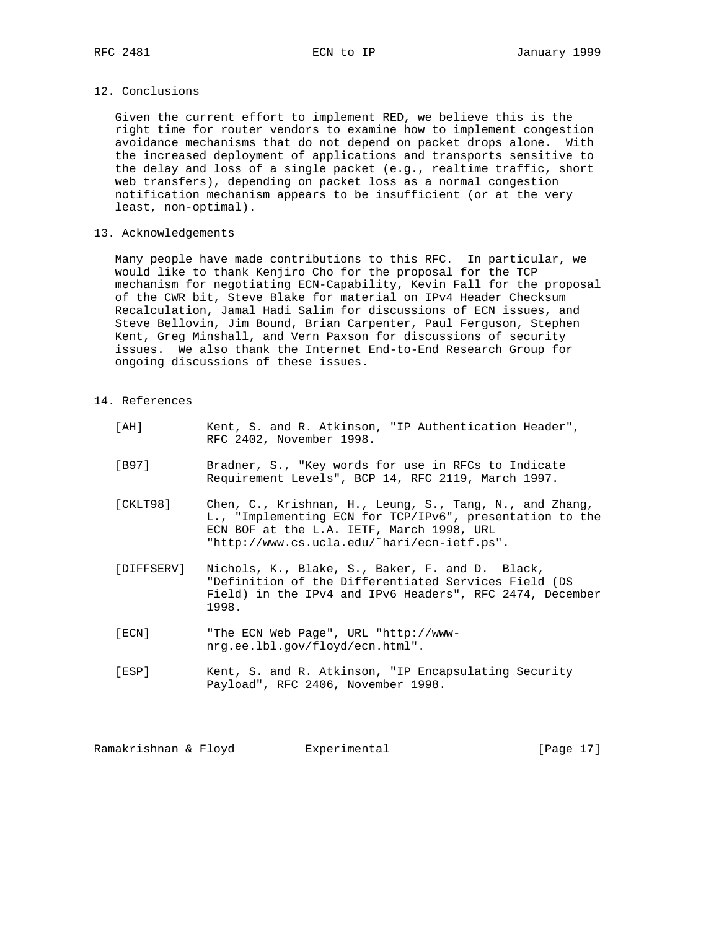#### 12. Conclusions

 Given the current effort to implement RED, we believe this is the right time for router vendors to examine how to implement congestion avoidance mechanisms that do not depend on packet drops alone. With the increased deployment of applications and transports sensitive to the delay and loss of a single packet (e.g., realtime traffic, short web transfers), depending on packet loss as a normal congestion notification mechanism appears to be insufficient (or at the very least, non-optimal).

#### 13. Acknowledgements

 Many people have made contributions to this RFC. In particular, we would like to thank Kenjiro Cho for the proposal for the TCP mechanism for negotiating ECN-Capability, Kevin Fall for the proposal of the CWR bit, Steve Blake for material on IPv4 Header Checksum Recalculation, Jamal Hadi Salim for discussions of ECN issues, and Steve Bellovin, Jim Bound, Brian Carpenter, Paul Ferguson, Stephen Kent, Greg Minshall, and Vern Paxson for discussions of security issues. We also thank the Internet End-to-End Research Group for ongoing discussions of these issues.

# 14. References

| [ AH ]     | Kent, S. and R. Atkinson, "IP Authentication Header",<br>RFC 2402, November 1998.                                                                                                                               |
|------------|-----------------------------------------------------------------------------------------------------------------------------------------------------------------------------------------------------------------|
| [B97]      | Bradner, S., "Key words for use in RFCs to Indicate<br>Requirement Levels", BCP 14, RFC 2119, March 1997.                                                                                                       |
| [CLLT98]   | Chen, C., Krishnan, H., Leung, S., Tang, N., and Zhang,<br>L., "Implementing ECN for TCP/IPv6", presentation to the<br>ECN BOF at the L.A. IETF, March 1998, URL<br>"http://www.cs.ucla.edu/~hari/ecn-ietf.ps". |
| [DIFFSERV] | Nichols, K., Blake, S., Baker, F. and D. Black,<br>"Definition of the Differentiated Services Field (DS<br>Field) in the IPv4 and IPv6 Headers", RFC 2474, December<br>1998.                                    |
| [ECN]      | "The ECN Web Page", URL "http://www-<br>nrg.ee.lbl.gov/floyd/ecn.html".                                                                                                                                         |
| [ESP]      | Kent, S. and R. Atkinson, "IP Encapsulating Security<br>Payload", RFC 2406, November 1998.                                                                                                                      |
|            |                                                                                                                                                                                                                 |

Ramakrishnan & Floyd Experimental [Page 17]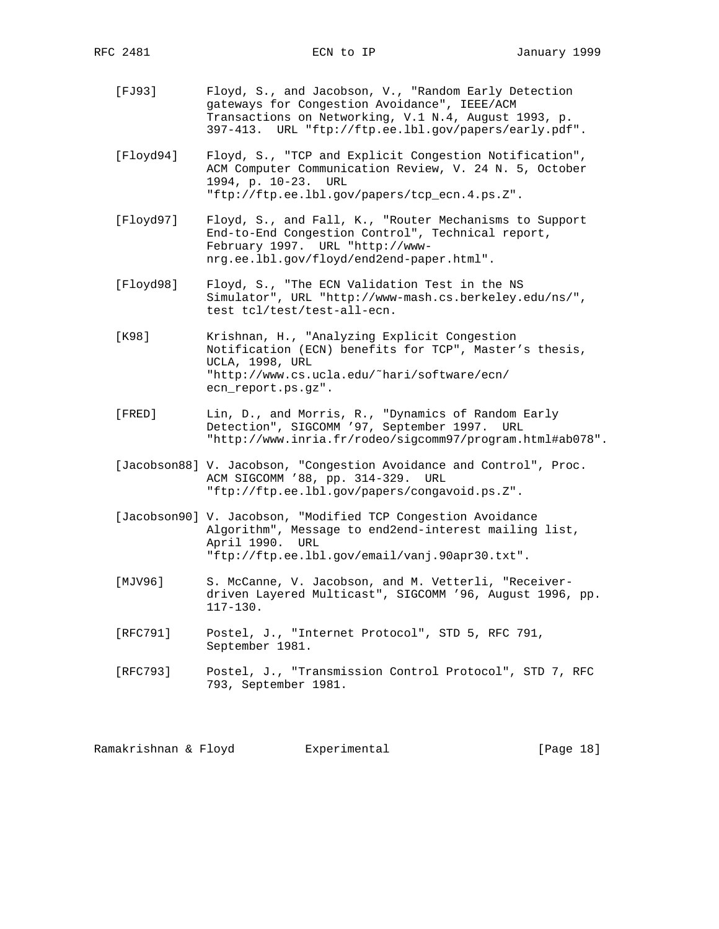- [FJ93] Floyd, S., and Jacobson, V., "Random Early Detection gateways for Congestion Avoidance", IEEE/ACM Transactions on Networking, V.1 N.4, August 1993, p. 397-413. URL "ftp://ftp.ee.lbl.gov/papers/early.pdf".
- [Floyd94] Floyd, S., "TCP and Explicit Congestion Notification", ACM Computer Communication Review, V. 24 N. 5, October 1994, p. 10-23. URL "ftp://ftp.ee.lbl.gov/papers/tcp\_ecn.4.ps.Z".
- [Floyd97] Floyd, S., and Fall, K., "Router Mechanisms to Support End-to-End Congestion Control", Technical report, February 1997. URL "http://www nrg.ee.lbl.gov/floyd/end2end-paper.html".
- [Floyd98] Floyd, S., "The ECN Validation Test in the NS Simulator", URL "http://www-mash.cs.berkeley.edu/ns/", test tcl/test/test-all-ecn.
- [K98] Krishnan, H., "Analyzing Explicit Congestion Notification (ECN) benefits for TCP", Master's thesis, UCLA, 1998, URL "http://www.cs.ucla.edu/˜hari/software/ecn/ ecn\_report.ps.gz".
- [FRED] Lin, D., and Morris, R., "Dynamics of Random Early Detection", SIGCOMM '97, September 1997. URL "http://www.inria.fr/rodeo/sigcomm97/program.html#ab078".
	- [Jacobson88] V. Jacobson, "Congestion Avoidance and Control", Proc. ACM SIGCOMM '88, pp. 314-329. URL "ftp://ftp.ee.lbl.gov/papers/congavoid.ps.Z".
	- [Jacobson90] V. Jacobson, "Modified TCP Congestion Avoidance Algorithm", Message to end2end-interest mailing list, April 1990. URL "ftp://ftp.ee.lbl.gov/email/vanj.90apr30.txt".
	- [MJV96] S. McCanne, V. Jacobson, and M. Vetterli, "Receiver driven Layered Multicast", SIGCOMM '96, August 1996, pp. 117-130.
	- [RFC791] Postel, J., "Internet Protocol", STD 5, RFC 791, September 1981.
	- [RFC793] Postel, J., "Transmission Control Protocol", STD 7, RFC 793, September 1981.

Ramakrishnan & Floyd Bxperimental (Page 18)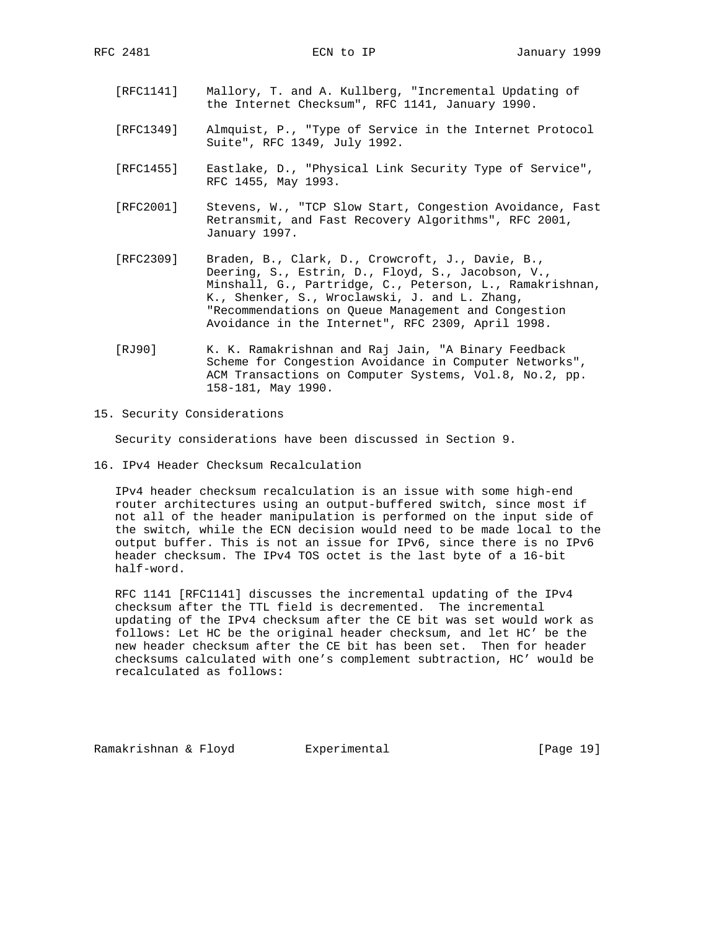- [RFC1141] Mallory, T. and A. Kullberg, "Incremental Updating of the Internet Checksum", RFC 1141, January 1990.
- [RFC1349] Almquist, P., "Type of Service in the Internet Protocol Suite", RFC 1349, July 1992.
- [RFC1455] Eastlake, D., "Physical Link Security Type of Service", RFC 1455, May 1993.
- [RFC2001] Stevens, W., "TCP Slow Start, Congestion Avoidance, Fast Retransmit, and Fast Recovery Algorithms", RFC 2001, January 1997.
- [RFC2309] Braden, B., Clark, D., Crowcroft, J., Davie, B., Deering, S., Estrin, D., Floyd, S., Jacobson, V., Minshall, G., Partridge, C., Peterson, L., Ramakrishnan, K., Shenker, S., Wroclawski, J. and L. Zhang, "Recommendations on Queue Management and Congestion Avoidance in the Internet", RFC 2309, April 1998.
- [RJ90] K. K. Ramakrishnan and Raj Jain, "A Binary Feedback Scheme for Congestion Avoidance in Computer Networks", ACM Transactions on Computer Systems, Vol.8, No.2, pp. 158-181, May 1990.
- 15. Security Considerations

Security considerations have been discussed in Section 9.

16. IPv4 Header Checksum Recalculation

 IPv4 header checksum recalculation is an issue with some high-end router architectures using an output-buffered switch, since most if not all of the header manipulation is performed on the input side of the switch, while the ECN decision would need to be made local to the output buffer. This is not an issue for IPv6, since there is no IPv6 header checksum. The IPv4 TOS octet is the last byte of a 16-bit half-word.

 RFC 1141 [RFC1141] discusses the incremental updating of the IPv4 checksum after the TTL field is decremented. The incremental updating of the IPv4 checksum after the CE bit was set would work as follows: Let HC be the original header checksum, and let HC' be the new header checksum after the CE bit has been set. Then for header checksums calculated with one's complement subtraction, HC' would be recalculated as follows:

Ramakrishnan & Floyd Experimental [Page 19]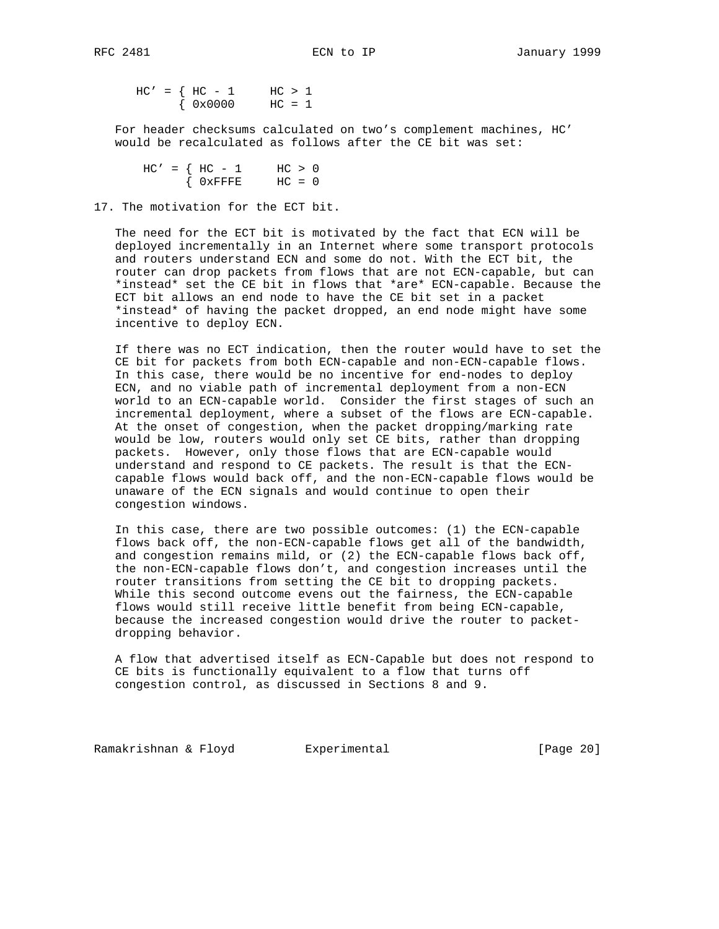$HC' = \{ HC - 1 \} \text{HC} > 1$  $\{ 0 \times 0 0 0 0 \quad \text{HC} = 1$ 

 For header checksums calculated on two's complement machines, HC' would be recalculated as follows after the CE bit was set:

 $HC' = \{ HC - 1 \}$  HC > 0  $\{$  OxFFFE HC = 0

17. The motivation for the ECT bit.

 The need for the ECT bit is motivated by the fact that ECN will be deployed incrementally in an Internet where some transport protocols and routers understand ECN and some do not. With the ECT bit, the router can drop packets from flows that are not ECN-capable, but can \*instead\* set the CE bit in flows that \*are\* ECN-capable. Because the ECT bit allows an end node to have the CE bit set in a packet \*instead\* of having the packet dropped, an end node might have some incentive to deploy ECN.

 If there was no ECT indication, then the router would have to set the CE bit for packets from both ECN-capable and non-ECN-capable flows. In this case, there would be no incentive for end-nodes to deploy ECN, and no viable path of incremental deployment from a non-ECN world to an ECN-capable world. Consider the first stages of such an incremental deployment, where a subset of the flows are ECN-capable. At the onset of congestion, when the packet dropping/marking rate would be low, routers would only set CE bits, rather than dropping packets. However, only those flows that are ECN-capable would understand and respond to CE packets. The result is that the ECN capable flows would back off, and the non-ECN-capable flows would be unaware of the ECN signals and would continue to open their congestion windows.

 In this case, there are two possible outcomes: (1) the ECN-capable flows back off, the non-ECN-capable flows get all of the bandwidth, and congestion remains mild, or (2) the ECN-capable flows back off, the non-ECN-capable flows don't, and congestion increases until the router transitions from setting the CE bit to dropping packets. While this second outcome evens out the fairness, the ECN-capable flows would still receive little benefit from being ECN-capable, because the increased congestion would drive the router to packet dropping behavior.

 A flow that advertised itself as ECN-Capable but does not respond to CE bits is functionally equivalent to a flow that turns off congestion control, as discussed in Sections 8 and 9.

Ramakrishnan & Floyd Experimental [Page 20]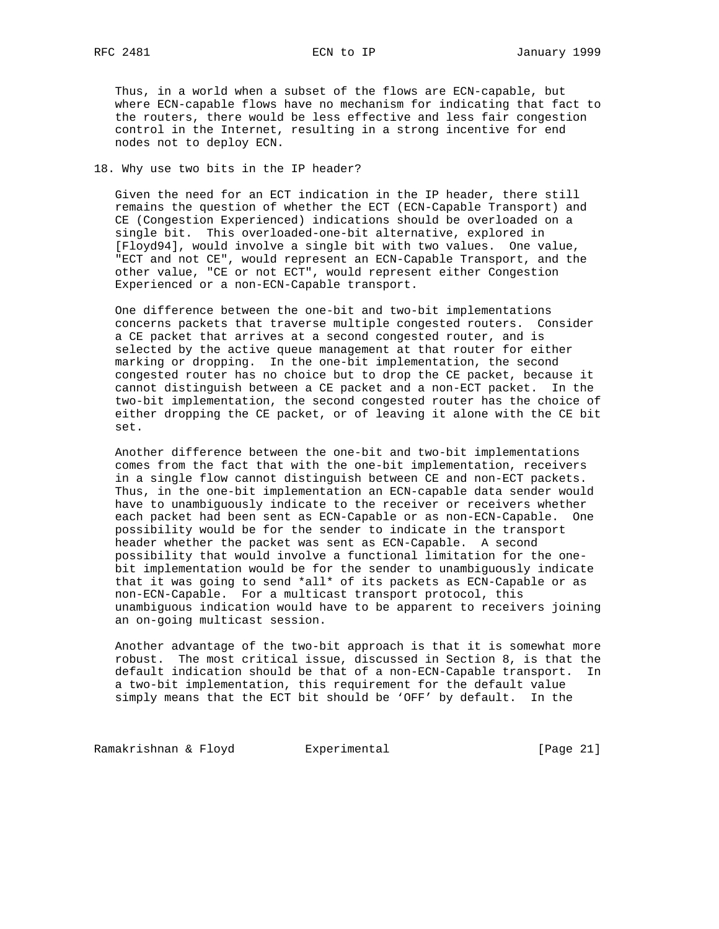Thus, in a world when a subset of the flows are ECN-capable, but where ECN-capable flows have no mechanism for indicating that fact to the routers, there would be less effective and less fair congestion control in the Internet, resulting in a strong incentive for end nodes not to deploy ECN.

#### 18. Why use two bits in the IP header?

 Given the need for an ECT indication in the IP header, there still remains the question of whether the ECT (ECN-Capable Transport) and CE (Congestion Experienced) indications should be overloaded on a single bit. This overloaded-one-bit alternative, explored in [Floyd94], would involve a single bit with two values. One value, "ECT and not CE", would represent an ECN-Capable Transport, and the other value, "CE or not ECT", would represent either Congestion Experienced or a non-ECN-Capable transport.

 One difference between the one-bit and two-bit implementations concerns packets that traverse multiple congested routers. Consider a CE packet that arrives at a second congested router, and is selected by the active queue management at that router for either marking or dropping. In the one-bit implementation, the second congested router has no choice but to drop the CE packet, because it cannot distinguish between a CE packet and a non-ECT packet. In the two-bit implementation, the second congested router has the choice of either dropping the CE packet, or of leaving it alone with the CE bit set.

 Another difference between the one-bit and two-bit implementations comes from the fact that with the one-bit implementation, receivers in a single flow cannot distinguish between CE and non-ECT packets. Thus, in the one-bit implementation an ECN-capable data sender would have to unambiguously indicate to the receiver or receivers whether each packet had been sent as ECN-Capable or as non-ECN-Capable. One possibility would be for the sender to indicate in the transport header whether the packet was sent as ECN-Capable. A second possibility that would involve a functional limitation for the one bit implementation would be for the sender to unambiguously indicate that it was going to send \*all\* of its packets as ECN-Capable or as non-ECN-Capable. For a multicast transport protocol, this unambiguous indication would have to be apparent to receivers joining an on-going multicast session.

 Another advantage of the two-bit approach is that it is somewhat more robust. The most critical issue, discussed in Section 8, is that the default indication should be that of a non-ECN-Capable transport. In a two-bit implementation, this requirement for the default value simply means that the ECT bit should be 'OFF' by default. In the

Ramakrishnan & Floyd Experimental [Page 21]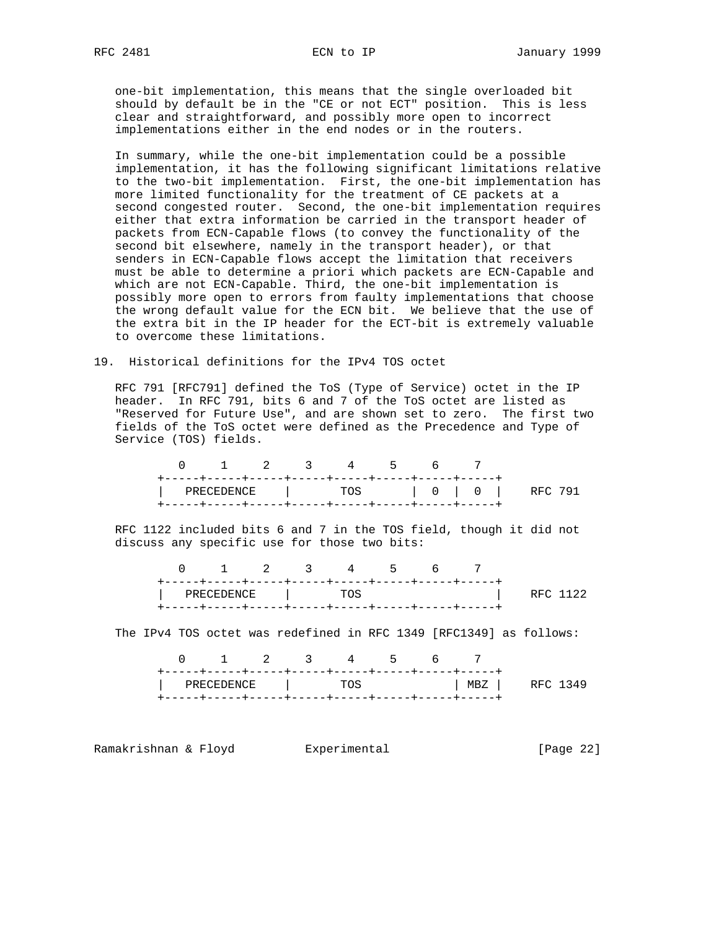one-bit implementation, this means that the single overloaded bit should by default be in the "CE or not ECT" position. This is less clear and straightforward, and possibly more open to incorrect implementations either in the end nodes or in the routers.

 In summary, while the one-bit implementation could be a possible implementation, it has the following significant limitations relative to the two-bit implementation. First, the one-bit implementation has more limited functionality for the treatment of CE packets at a second congested router. Second, the one-bit implementation requires either that extra information be carried in the transport header of packets from ECN-Capable flows (to convey the functionality of the second bit elsewhere, namely in the transport header), or that senders in ECN-Capable flows accept the limitation that receivers must be able to determine a priori which packets are ECN-Capable and which are not ECN-Capable. Third, the one-bit implementation is possibly more open to errors from faulty implementations that choose the wrong default value for the ECN bit. We believe that the use of the extra bit in the IP header for the ECT-bit is extremely valuable to overcome these limitations.

#### 19. Historical definitions for the IPv4 TOS octet

 RFC 791 [RFC791] defined the ToS (Type of Service) octet in the IP header. In RFC 791, bits 6 and 7 of the ToS octet are listed as "Reserved for Future Use", and are shown set to zero. The first two fields of the ToS octet were defined as the Precedence and Type of Service (TOS) fields.

|  |  | 0 1 2 3 4 5 6 |  |  |                                                          |
|--|--|---------------|--|--|----------------------------------------------------------|
|  |  |               |  |  |                                                          |
|  |  |               |  |  | $\vert$ PRECEDENCE $\vert$ TOS $\vert$ 0 $\vert$ RFC 791 |
|  |  |               |  |  |                                                          |

 RFC 1122 included bits 6 and 7 in the TOS field, though it did not discuss any specific use for those two bits:

|  | 0 1 2 3 4 5 6    |  |  |                        |
|--|------------------|--|--|------------------------|
|  |                  |  |  |                        |
|  | PRECEDENCE   TOS |  |  | <b>Example 20</b> 1122 |
|  |                  |  |  |                        |

The IPv4 TOS octet was redefined in RFC 1349 [RFC1349] as follows:

|  |  |  | 0 1 2 3 4 5 6 7 |  |                                   |  |
|--|--|--|-----------------|--|-----------------------------------|--|
|  |  |  |                 |  | PRECEDENCE   TOS   MBZ   RFC 1349 |  |
|  |  |  |                 |  |                                   |  |

Ramakrishnan & Floyd Experimental [Page 22]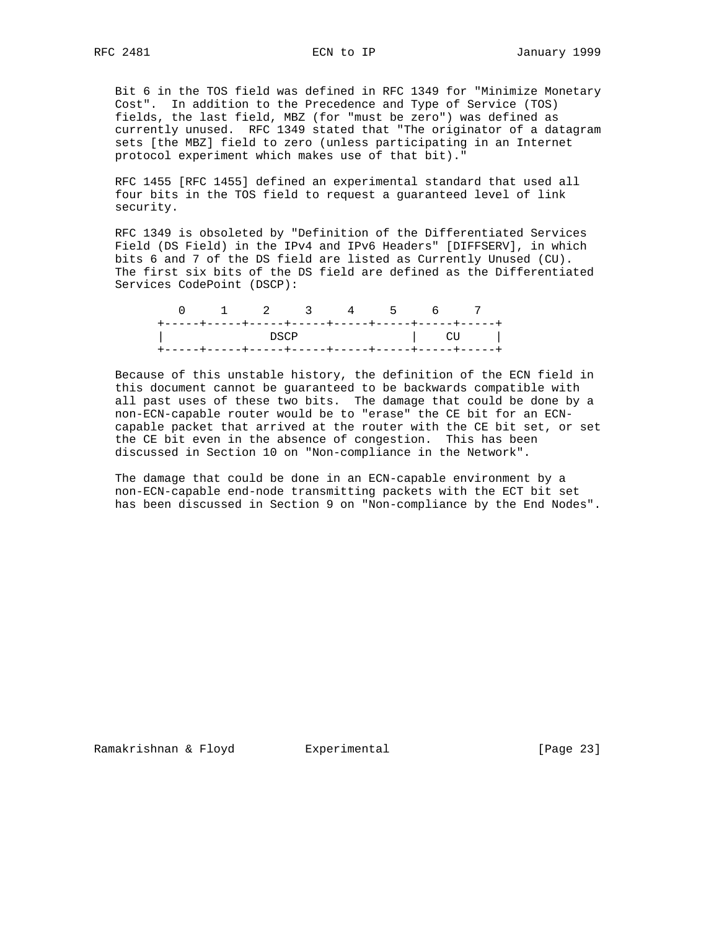Bit 6 in the TOS field was defined in RFC 1349 for "Minimize Monetary Cost". In addition to the Precedence and Type of Service (TOS) fields, the last field, MBZ (for "must be zero") was defined as currently unused. RFC 1349 stated that "The originator of a datagram sets [the MBZ] field to zero (unless participating in an Internet protocol experiment which makes use of that bit)."

 RFC 1455 [RFC 1455] defined an experimental standard that used all four bits in the TOS field to request a guaranteed level of link security.

 RFC 1349 is obsoleted by "Definition of the Differentiated Services Field (DS Field) in the IPv4 and IPv6 Headers" [DIFFSERV], in which bits 6 and 7 of the DS field are listed as Currently Unused (CU). The first six bits of the DS field are defined as the Differentiated Services CodePoint (DSCP):

|                             |  |  |  | 0 1 2 3 4 5 6 7                                                                                                                                                                                                                |
|-----------------------------|--|--|--|--------------------------------------------------------------------------------------------------------------------------------------------------------------------------------------------------------------------------------|
|                             |  |  |  |                                                                                                                                                                                                                                |
| <b>Solution in the DSCP</b> |  |  |  | and the contract of the contract of the contract of the contract of the contract of the contract of the contract of the contract of the contract of the contract of the contract of the contract of the contract of the contra |
|                             |  |  |  |                                                                                                                                                                                                                                |

 Because of this unstable history, the definition of the ECN field in this document cannot be guaranteed to be backwards compatible with all past uses of these two bits. The damage that could be done by a non-ECN-capable router would be to "erase" the CE bit for an ECN capable packet that arrived at the router with the CE bit set, or set the CE bit even in the absence of congestion. This has been discussed in Section 10 on "Non-compliance in the Network".

 The damage that could be done in an ECN-capable environment by a non-ECN-capable end-node transmitting packets with the ECT bit set has been discussed in Section 9 on "Non-compliance by the End Nodes".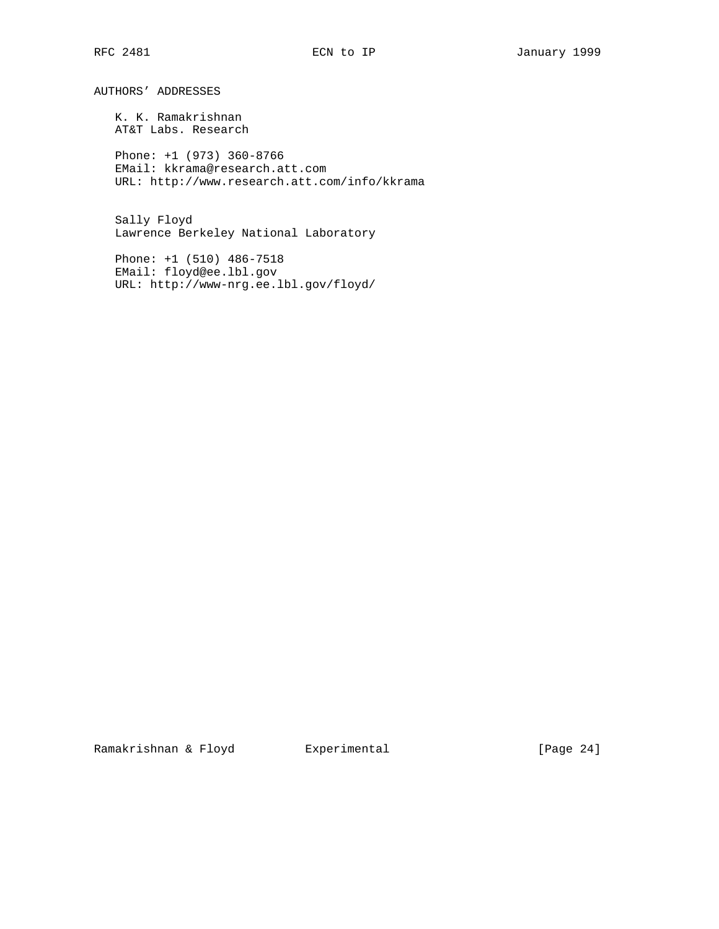AUTHORS' ADDRESSES

 K. K. Ramakrishnan AT&T Labs. Research

 Phone: +1 (973) 360-8766 EMail: kkrama@research.att.com URL: http://www.research.att.com/info/kkrama

 Sally Floyd Lawrence Berkeley National Laboratory

 Phone: +1 (510) 486-7518 EMail: floyd@ee.lbl.gov URL: http://www-nrg.ee.lbl.gov/floyd/